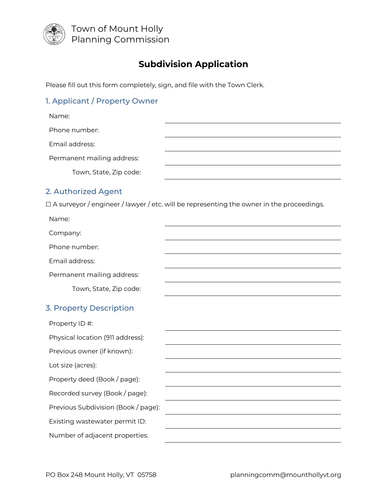

Town of Mount Holly Planning Commission

## **Subdivision Application**

Please fill out this form completely, sign, and file with the Town Clerk.

#### 1. Applicant / Property Owner

Name:

Phone number:

Email address:

Permanent mailing address:

Town, State, Zip code:

#### 2. Authorized Agent

☐ A surveyor / engineer / lawyer / etc. will be representing the owner in the proceedings.

| Name:                               |  |
|-------------------------------------|--|
| Company:                            |  |
| Phone number:                       |  |
| Email address:                      |  |
| Permanent mailing address:          |  |
| Town, State, Zip code:              |  |
| <b>3. Property Description</b>      |  |
| Property ID#:                       |  |
| Physical location (911 address):    |  |
| Previous owner (if known):          |  |
| Lot size (acres):                   |  |
| Property deed (Book / page):        |  |
| Recorded survey (Book / page):      |  |
| Previous Subdivision (Book / page): |  |
| Existing wastewater permit ID:      |  |
| Number of adjacent properties:      |  |
|                                     |  |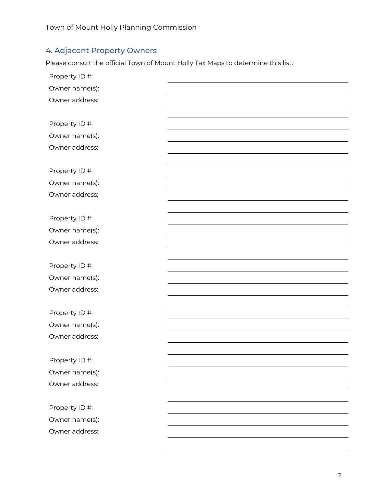# 4. Adjacent Property Owners

Please consult the official Town of Mount Holly Tax Maps to determine this list.

| Property ID#:  |  |
|----------------|--|
| Owner name(s): |  |
| Owner address: |  |
|                |  |
| Property ID#:  |  |
| Owner name(s): |  |
| Owner address: |  |
|                |  |
| Property ID#:  |  |
| Owner name(s): |  |
| Owner address: |  |
|                |  |
| Property ID#:  |  |
| Owner name(s): |  |
| Owner address: |  |
|                |  |
| Property ID#:  |  |
| Owner name(s): |  |
| Owner address: |  |
|                |  |
| Property ID#:  |  |
| Owner name(s): |  |
| Owner address: |  |
|                |  |
| Property ID#:  |  |
| Owner name(s): |  |
| Owner address: |  |
|                |  |
| Property ID #: |  |
| Owner name(s): |  |
| Owner address: |  |
|                |  |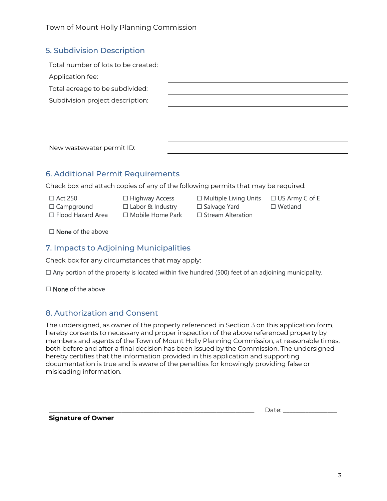Town of Mount Holly Planning Commission

#### 5. Subdivision Description

| Total number of lots to be created: |  |
|-------------------------------------|--|
| Application fee:                    |  |
| Total acreage to be subdivided:     |  |
| Subdivision project description:    |  |
|                                     |  |
|                                     |  |
|                                     |  |
| New wastewater permit ID:           |  |

#### 6. Additional Permit Requirements

Check box and attach copies of any of the following permits that may be required:

| $\Box$ Act 250           | $\Box$ Highway Access   | $\Box$ Multiple Living Units | $\Box$ US Army C of E |
|--------------------------|-------------------------|------------------------------|-----------------------|
| $\Box$ Campground        | $\Box$ Labor & Industry | $\Box$ Salvage Yard          | $\Box$ Wetland        |
| $\Box$ Flood Hazard Area | $\Box$ Mobile Home Park | $\Box$ Stream Alteration     |                       |

| $\Box$ Multiple Living Units | $\Box$ US Army C of |
|------------------------------|---------------------|
| □ Salvage Yard               | $\Box$ Wetland      |
| $\Box$ Stream Alteration     |                     |

☐ None of the above

#### 7. Impacts to Adjoining Municipalities

Check box for any circumstances that may apply:

 $\Box$  Any portion of the property is located within five hundred (500) feet of an adjoining municipality.

☐ None of the above

#### 8. Authorization and Consent

The undersigned, as owner of the property referenced in Section 3 on this application form, hereby consents to necessary and proper inspection of the above referenced property by members and agents of the Town of Mount Holly Planning Commission, at reasonable times, both before and after a final decision has been issued by the Commission. The undersigned hereby certifies that the information provided in this application and supporting documentation is true and is aware of the penalties for knowingly providing false or misleading information.

\_\_\_\_\_\_\_\_\_\_\_\_\_\_\_\_\_\_\_\_\_\_\_\_\_\_\_\_\_\_\_\_\_\_\_\_\_\_\_\_\_\_\_\_\_\_\_\_\_\_\_\_\_\_\_\_\_\_\_\_\_\_\_\_\_ Date: \_\_\_\_\_\_\_\_\_\_\_\_\_\_\_\_\_

**Signature of Owner**